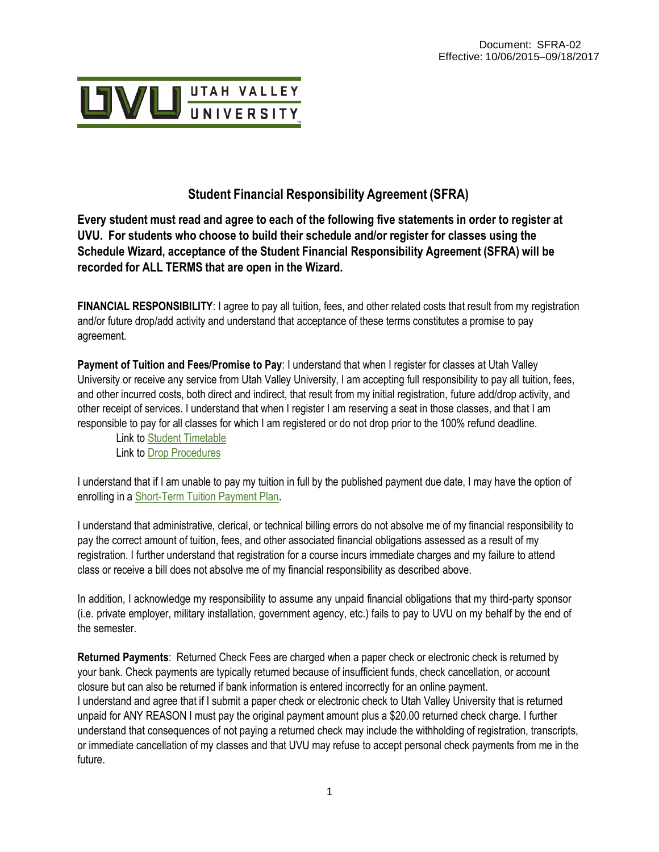

# **Student Financial Responsibility Agreement (SFRA)**

Every student must read and agree to each of the following five statements in order to register at **UVU. For students who choose to build their schedule and/or register for classes using the Schedule Wizard, acceptance of the Student Financial Responsibility Agreement (SFRA) will be recorded for ALL TERMS that are open in the Wizard.**

**FINANCIAL RESPONSIBILITY**: I agree to pay all tuition, fees, and other related costs that result from my registration and/or future drop/add activity and understand that acceptance of these terms constitutes a promise to pay agreement.

**Payment of Tuition and Fees/Promise to Pay**: I understand that when I register for classes at Utah Valley University or receive any service from Utah Valley University, I am accepting full responsibility to pay all tuition, fees, and other incurred costs, both direct and indirect, that result from my initial registration, future add/drop activity, and other receipt of services. I understand that when I register I am reserving a seat in those classes, and that I am responsible to pay for all classes for which I am registered or do not drop prior to the 100% refund deadline.

Link to Student [Timetable](http://www.uvu.edu/schedule/) Link to [Drop Procedures](http://www.uvu.edu/registration/info/adddrop.html)

I understand that if I am unable to pay my tuition in full by the published payment due date, I may have the option of enrolling in [a Short-Term Tuition Payment Plan.](http://www.uvu.edu/collections)

I understand that administrative, clerical, or technical billing errors do not absolve me of my financial responsibility to pay the correct amount of tuition, fees, and other associated financial obligations assessed as a result of my registration. I further understand that registration for a course incurs immediate charges and my failure to attend class or receive a bill does not absolve me of my financial responsibility as described above.

In addition, I acknowledge my responsibility to assume any unpaid financial obligations that my third-party sponsor (i.e. private employer, military installation, government agency, etc.) fails to pay to UVU on my behalf by the end of the semester.

**Returned Payments**: Returned Check Fees are charged when a paper check or electronic check is returned by your bank. Check payments are typically returned because of insufficient funds, check cancellation, or account closure but can also be returned if bank information is entered incorrectly for an online payment. I understand and agree that if I submit a paper check or electronic check to Utah Valley University that is returned unpaid for ANY REASON I must pay the original payment amount plus a \$20.00 returned check charge. I further understand that consequences of not paying a returned check may include the withholding of registration, transcripts, or immediate cancellation of my classes and that UVU may refuse to accept personal check payments from me in the future.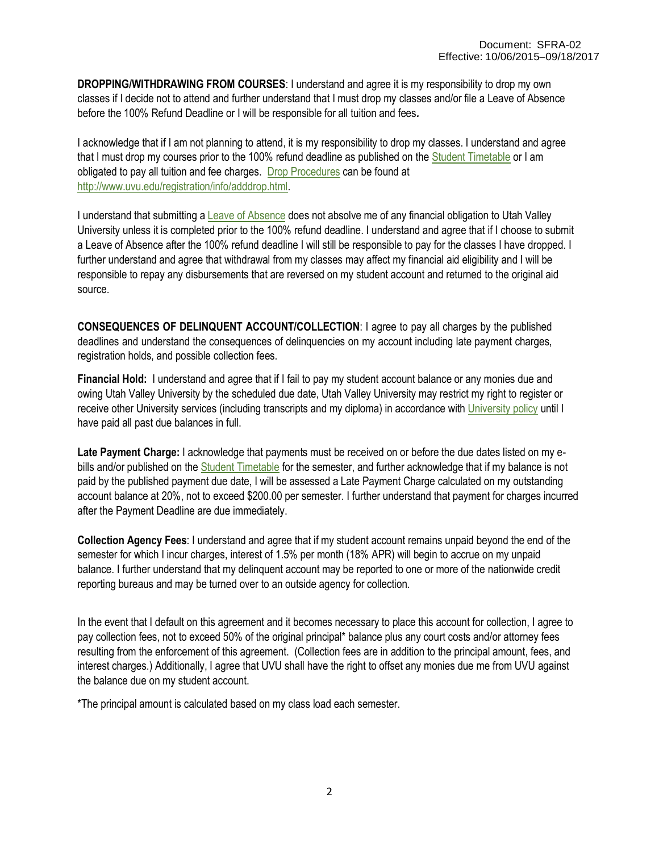**DROPPING/WITHDRAWING FROM COURSES**: I understand and agree it is my responsibility to drop my own classes if I decide not to attend and further understand that I must drop my classes and/or file a Leave of Absence before the 100% Refund Deadline or I will be responsible for all tuition and fees*.*

I acknowledge that if I am not planning to attend, it is my responsibility to drop my classes. I understand and agree that I must drop my courses prior to the 100% refund deadline as published on the Student [Timetable](http://www.uvu.edu/schedule/) or I am obligated to pay all tuition and fee charges. [Drop Procedures](http://www.uvu.edu/registration/info/adddrop.html) can be found at [http://www.uvu.edu/registration/info/adddrop.html.](http://www.uvu.edu/registration/info/adddrop.html)

I understand that submitting a [Leave of Absence](http://www.uvu.edu/admissions/returning/) does not absolve me of any financial obligation to Utah Valley University unless it is completed prior to the 100% refund deadline. I understand and agree that if I choose to submit a Leave of Absence after the 100% refund deadline I will still be responsible to pay for the classes I have dropped. I further understand and agree that withdrawal from my classes may affect my financial aid eligibility and I will be responsible to repay any disbursements that are reversed on my student account and returned to the original aid source.

**CONSEQUENCES OF DELINQUENT ACCOUNT/COLLECTION**: I agree to pay all charges by the published deadlines and understand the consequences of delinquencies on my account including late payment charges, registration holds, and possible collection fees.

**Financial Hold:** I understand and agree that if I fail to pay my student account balance or any monies due and owing Utah Valley University by the scheduled due date, Utah Valley University may restrict my right to register or receive other University services (including transcripts and my diploma) in accordance wit[h University policy](http://www.uvu.edu/policies) until I have paid all past due balances in full.

**Late Payment Charge:** I acknowledge that payments must be received on or before the due dates listed on my ebills and/or published on the **Student Timetable** for the semester, and further acknowledge that if my balance is not paid by the published payment due date, I will be assessed a Late Payment Charge calculated on my outstanding account balance at 20%, not to exceed \$200.00 per semester. I further understand that payment for charges incurred after the Payment Deadline are due immediately.

**Collection Agency Fees**: I understand and agree that if my student account remains unpaid beyond the end of the semester for which I incur charges, interest of 1.5% per month (18% APR) will begin to accrue on my unpaid balance. I further understand that my delinquent account may be reported to one or more of the nationwide credit reporting bureaus and may be turned over to an outside agency for collection.

In the event that I default on this agreement and it becomes necessary to place this account for collection, I agree to pay collection fees, not to exceed 50% of the original principal\* balance plus any court costs and/or attorney fees resulting from the enforcement of this agreement. (Collection fees are in addition to the principal amount, fees, and interest charges.) Additionally, I agree that UVU shall have the right to offset any monies due me from UVU against the balance due on my student account.

\*The principal amount is calculated based on my class load each semester.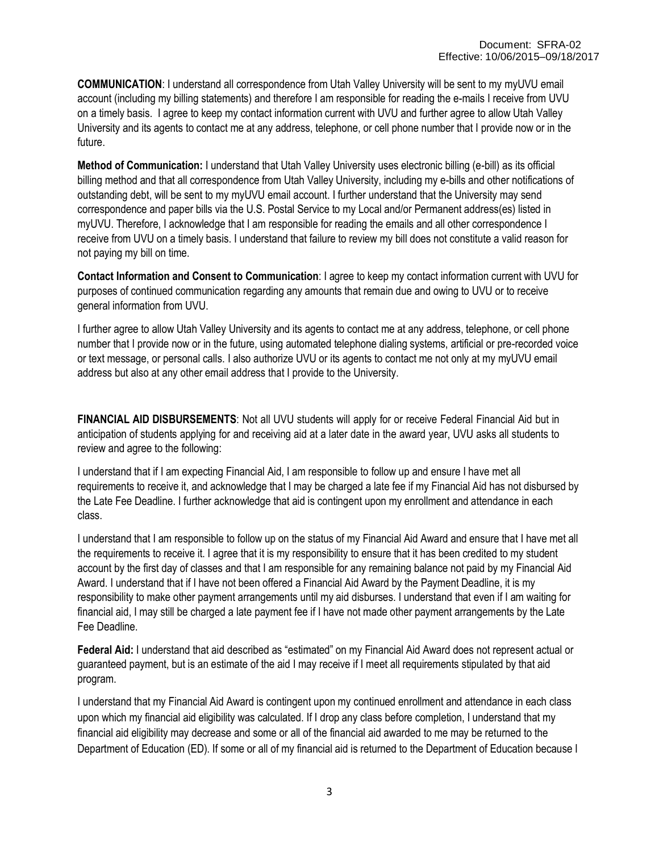**COMMUNICATION**: I understand all correspondence from Utah Valley University will be sent to my myUVU email account (including my billing statements) and therefore I am responsible for reading the e-mails I receive from UVU on a timely basis. I agree to keep my contact information current with UVU and further agree to allow Utah Valley University and its agents to contact me at any address, telephone, or cell phone number that I provide now or in the future.

**Method of Communication:** I understand that Utah Valley University uses electronic billing (e-bill) as its official billing method and that all correspondence from Utah Valley University, including my e-bills and other notifications of outstanding debt, will be sent to my myUVU email account. I further understand that the University may send correspondence and paper bills via the U.S. Postal Service to my Local and/or Permanent address(es) listed in myUVU. Therefore, I acknowledge that I am responsible for reading the emails and all other correspondence I receive from UVU on a timely basis. I understand that failure to review my bill does not constitute a valid reason for not paying my bill on time.

**Contact Information and Consent to Communication**: I agree to keep my contact information current with UVU for purposes of continued communication regarding any amounts that remain due and owing to UVU or to receive general information from UVU.

I further agree to allow Utah Valley University and its agents to contact me at any address, telephone, or cell phone number that I provide now or in the future, using automated telephone dialing systems, artificial or pre-recorded voice or text message, or personal calls. I also authorize UVU or its agents to contact me not only at my myUVU email address but also at any other email address that I provide to the University.

**FINANCIAL AID DISBURSEMENTS**: Not all UVU students will apply for or receive Federal Financial Aid but in anticipation of students applying for and receiving aid at a later date in the award year, UVU asks all students to review and agree to the following:

I understand that if I am expecting Financial Aid, I am responsible to follow up and ensure I have met all requirements to receive it, and acknowledge that I may be charged a late fee if my Financial Aid has not disbursed by the Late Fee Deadline. I further acknowledge that aid is contingent upon my enrollment and attendance in each class.

I understand that I am responsible to follow up on the status of my Financial Aid Award and ensure that I have met all the requirements to receive it. I agree that it is my responsibility to ensure that it has been credited to my student account by the first day of classes and that I am responsible for any remaining balance not paid by my Financial Aid Award. I understand that if I have not been offered a Financial Aid Award by the Payment Deadline, it is my responsibility to make other payment arrangements until my aid disburses. I understand that even if I am waiting for financial aid, I may still be charged a late payment fee if I have not made other payment arrangements by the Late Fee Deadline.

**Federal Aid:** I understand that aid described as "estimated" on my Financial Aid Award does not represent actual or guaranteed payment, but is an estimate of the aid I may receive if I meet all requirements stipulated by that aid program.

I understand that my Financial Aid Award is contingent upon my continued enrollment and attendance in each class upon which my financial aid eligibility was calculated. If I drop any class before completion, I understand that my financial aid eligibility may decrease and some or all of the financial aid awarded to me may be returned to the Department of Education (ED). If some or all of my financial aid is returned to the Department of Education because I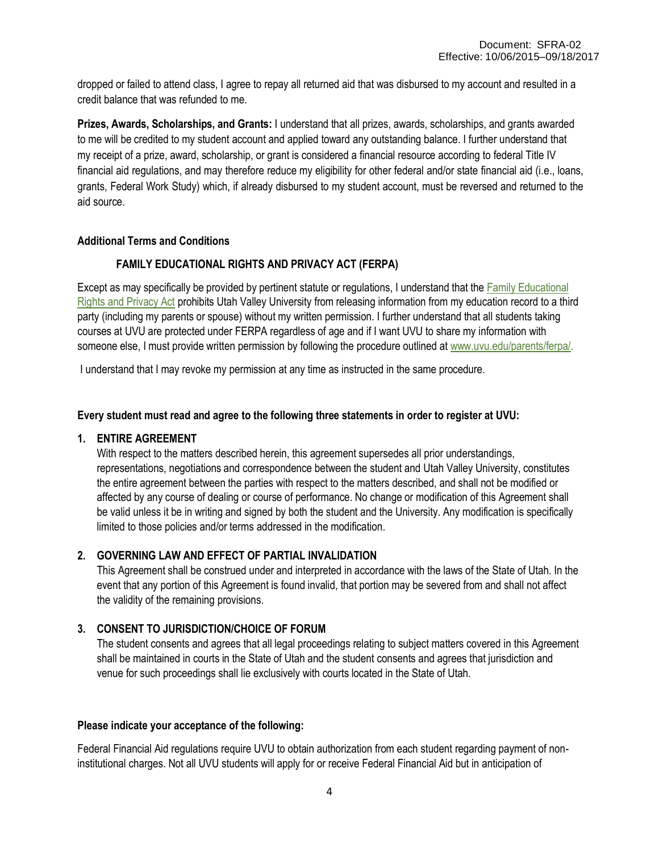dropped or failed to attend class, I agree to repay all returned aid that was disbursed to my account and resulted in a credit balance that was refunded to me.

**Prizes, Awards, Scholarships, and Grants:** I understand that all prizes, awards, scholarships, and grants awarded to me will be credited to my student account and applied toward any outstanding balance. I further understand that my receipt of a prize, award, scholarship, or grant is considered a financial resource according to federal Title IV financial aid regulations, and may therefore reduce my eligibility for other federal and/or state financial aid (i.e., loans, grants, Federal Work Study) which, if already disbursed to my student account, must be reversed and returned to the aid source.

#### **Additional Terms and Conditions**

### **FAMILY EDUCATIONAL RIGHTS AND PRIVACY ACT (FERPA)**

Except as may specifically be provided by pertinent statute or regulations, I understand that the [Family Educational](http://www.uvu.edu/parents/ferpa/) Rights [and Privacy Act](http://www.uvu.edu/parents/ferpa/) prohibits Utah Valley University from releasing information from my education record to a third party (including my parents or spouse) without my written permission. I further understand that all students taking courses at UVU are protected under FERPA regardless of age and if I want UVU to share my information with someone else, I must provide written permission by following the procedure outlined at www.uvu.edu/parents/ferpal.

I understand that I may revoke my permission at any time as instructed in the same procedure.

#### **Every student must read and agree to the following three statements in order to register at UVU:**

#### **1. ENTIRE AGREEMENT**

With respect to the matters described herein, this agreement supersedes all prior understandings, representations, negotiations and correspondence between the student and Utah Valley University, constitutes the entire agreement between the parties with respect to the matters described, and shall not be modified or affected by any course of dealing or course of performance. No change or modification of this Agreement shall be valid unless it be in writing and signed by both the student and the University. Any modification is specifically limited to those policies and/or terms addressed in the modification.

#### **2. GOVERNING LAW AND EFFECT OF PARTIAL INVALIDATION**

This Agreement shall be construed under and interpreted in accordance with the laws of the State of Utah. In the event that any portion of this Agreement is found invalid, that portion may be severed from and shall not affect the validity of the remaining provisions.

## **3. CONSENT TO JURISDICTION/CHOICE OF FORUM**

The student consents and agrees that all legal proceedings relating to subject matters covered in this Agreement shall be maintained in courts in the State of Utah and the student consents and agrees that jurisdiction and venue for such proceedings shall lie exclusively with courts located in the State of Utah.

#### **Please indicate your acceptance of the following:**

Federal Financial Aid regulations require UVU to obtain authorization from each student regarding payment of noninstitutional charges. Not all UVU students will apply for or receive Federal Financial Aid but in anticipation of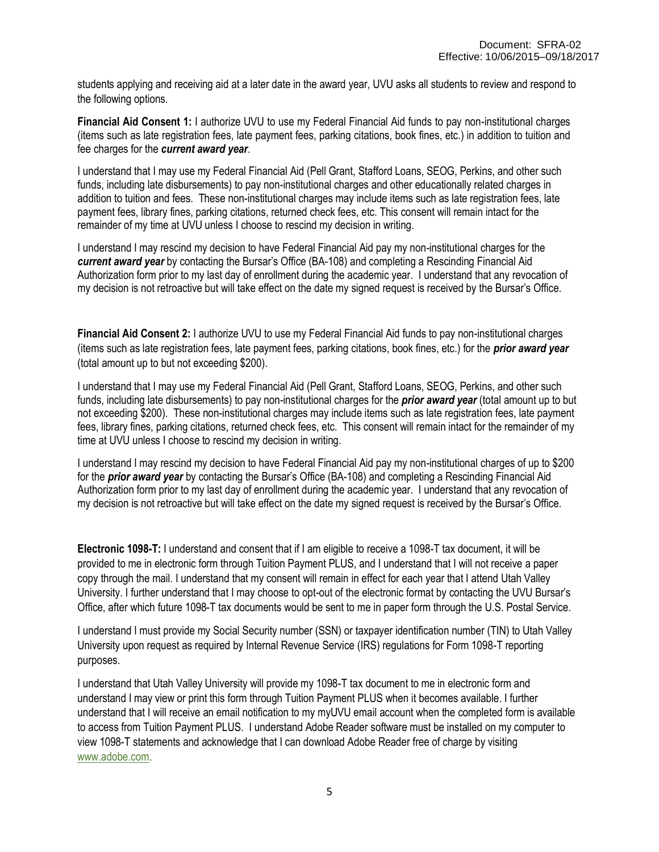students applying and receiving aid at a later date in the award year, UVU asks all students to review and respond to the following options.

**Financial Aid Consent 1:** I authorize UVU to use my Federal Financial Aid funds to pay non-institutional charges (items such as late registration fees, late payment fees, parking citations, book fines, etc.) in addition to tuition and fee charges for the *current award year*.

I understand that I may use my Federal Financial Aid (Pell Grant, Stafford Loans, SEOG, Perkins, and other such funds, including late disbursements) to pay non-institutional charges and other educationally related charges in addition to tuition and fees. These non-institutional charges may include items such as late registration fees, late payment fees, library fines, parking citations, returned check fees, etc. This consent will remain intact for the remainder of my time at UVU unless I choose to rescind my decision in writing.

I understand I may rescind my decision to have Federal Financial Aid pay my non-institutional charges for the *current award year* by contacting the Bursar's Office (BA-108) and completing a Rescinding Financial Aid Authorization form prior to my last day of enrollment during the academic year. I understand that any revocation of my decision is not retroactive but will take effect on the date my signed request is received by the Bursar's Office.

**Financial Aid Consent 2:** I authorize UVU to use my Federal Financial Aid funds to pay non-institutional charges (items such as late registration fees, late payment fees, parking citations, book fines, etc.) for the *prior award year*  (total amount up to but not exceeding \$200).

I understand that I may use my Federal Financial Aid (Pell Grant, Stafford Loans, SEOG, Perkins, and other such funds, including late disbursements) to pay non-institutional charges for the *prior award year* (total amount up to but not exceeding \$200). These non-institutional charges may include items such as late registration fees, late payment fees, library fines, parking citations, returned check fees, etc. This consent will remain intact for the remainder of my time at UVU unless I choose to rescind my decision in writing.

I understand I may rescind my decision to have Federal Financial Aid pay my non-institutional charges of up to \$200 for the *prior award year* by contacting the Bursar's Office (BA-108) and completing a Rescinding Financial Aid Authorization form prior to my last day of enrollment during the academic year. I understand that any revocation of my decision is not retroactive but will take effect on the date my signed request is received by the Bursar's Office.

**Electronic 1098-T:** I understand and consent that if I am eligible to receive a 1098-T tax document, it will be provided to me in electronic form through Tuition Payment PLUS, and I understand that I will not receive a paper copy through the mail. I understand that my consent will remain in effect for each year that I attend Utah Valley University. I further understand that I may choose to opt-out of the electronic format by contacting the UVU Bursar's Office, after which future 1098-T tax documents would be sent to me in paper form through the U.S. Postal Service.

I understand I must provide my Social Security number (SSN) or taxpayer identification number (TIN) to Utah Valley University upon request as required by Internal Revenue Service (IRS) regulations for Form 1098-T reporting purposes.

I understand that Utah Valley University will provide my 1098-T tax document to me in electronic form and understand I may view or print this form through Tuition Payment PLUS when it becomes available. I further understand that I will receive an email notification to my myUVU email account when the completed form is available to access from Tuition Payment PLUS. I understand Adobe Reader software must be installed on my computer to view 1098-T statements and acknowledge that I can download Adobe Reader free of charge by visiting [www.adobe.com.](http://www.adobe.com/)